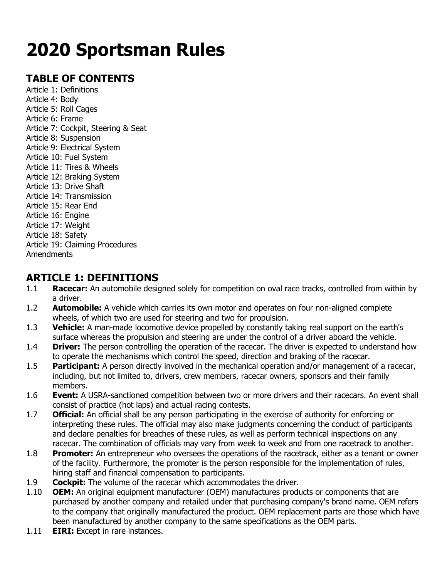# **2020 Sportsman Rules**

# **TABLE OF CONTENTS**

Article 1: Definitions Article 4: Body Article 5: Roll Cages Article 6: Frame Article 7: Cockpit, Steering & Seat Article 8: Suspension Article 9: Electrical System Article 10: Fuel System Article 11: Tires & Wheels Article 12: Braking System Article 13: Drive Shaft Article 14: Transmission Article 15: Rear End Article 16: Engine Article 17: Weight Article 18: Safety Article 19: Claiming Procedures Amendments

## **ARTICLE 1: DEFINITIONS**

- 1.1 **Racecar:** An automobile designed solely for competition on oval race tracks, controlled from within by a driver.
- 1.2 **Automobile:** A vehicle which carries its own motor and operates on four non-aligned complete wheels, of which two are used for steering and two for propulsion.
- 1.3 **Vehicle:** A man-made locomotive device propelled by constantly taking real support on the earth's surface whereas the propulsion and steering are under the control of a driver aboard the vehicle.
- 1.4 **Driver:** The person controlling the operation of the racecar. The driver is expected to understand how to operate the mechanisms which control the speed, direction and braking of the racecar.
- 1.5 **Participant:** A person directly involved in the mechanical operation and/or management of a racecar, including, but not limited to, drivers, crew members, racecar owners, sponsors and their family members.
- 1.6 **Event:** A USRA-sanctioned competition between two or more drivers and their racecars. An event shall consist of practice (hot laps) and actual racing contests.
- 1.7 **Official:** An official shall be any person participating in the exercise of authority for enforcing or interpreting these rules. The official may also make judgments concerning the conduct of participants and declare penalties for breaches of these rules, as well as perform technical inspections on any racecar. The combination of officials may vary from week to week and from one racetrack to another.
- 1.8 **Promoter:** An entrepreneur who oversees the operations of the racetrack, either as a tenant or owner of the facility. Furthermore, the promoter is the person responsible for the implementation of rules, hiring staff and financial compensation to participants.
- 1.9 **Cockpit:** The volume of the racecar which accommodates the driver.
- 1.10 **OEM:** An original equipment manufacturer (OEM) manufactures products or components that are purchased by another company and retailed under that purchasing company's brand name. OEM refers to the company that originally manufactured the product. OEM replacement parts are those which have been manufactured by another company to the same specifications as the OEM parts.
- 1.11 **EIRI:** Except in rare instances.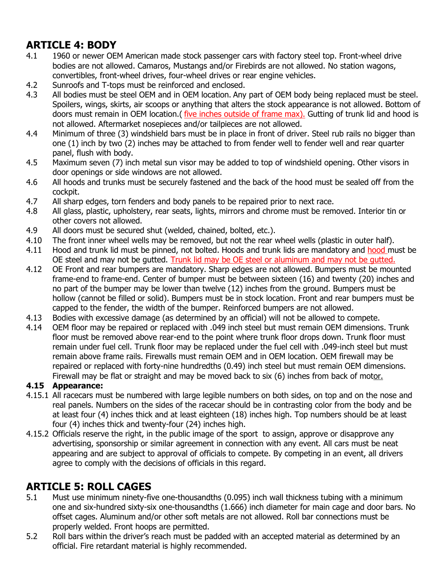# **ARTICLE 4: BODY**

- 4.1 1960 or newer OEM American made stock passenger cars with factory steel top. Front-wheel drive bodies are not allowed. Camaros, Mustangs and/or Firebirds are not allowed. No station wagons, convertibles, front-wheel drives, four-wheel drives or rear engine vehicles.
- 4.2 Sunroofs and T-tops must be reinforced and enclosed.
- 4.3 All bodies must be steel OEM and in OEM location. Any part of OEM body being replaced must be steel. Spoilers, wings, skirts, air scoops or anything that alters the stock appearance is not allowed. Bottom of doors must remain in OEM location.( five inches outside of frame max). Gutting of trunk lid and hood is not allowed. Aftermarket nosepieces and/or tailpieces are not allowed.
- 4.4 Minimum of three (3) windshield bars must be in place in front of driver. Steel rub rails no bigger than one (1) inch by two (2) inches may be attached to from fender well to fender well and rear quarter panel, flush with body.
- 4.5 Maximum seven (7) inch metal sun visor may be added to top of windshield opening. Other visors in door openings or side windows are not allowed.
- 4.6 All hoods and trunks must be securely fastened and the back of the hood must be sealed off from the cockpit.
- 4.7 All sharp edges, torn fenders and body panels to be repaired prior to next race.
- 4.8 All glass, plastic, upholstery, rear seats, lights, mirrors and chrome must be removed. Interior tin or other covers not allowed.
- 4.9 All doors must be secured shut (welded, chained, bolted, etc.).
- 4.10 The front inner wheel wells may be removed, but not the rear wheel wells (plastic in outer half).
- 4.11 Hood and trunk lid must be pinned, not bolted. Hoods and trunk lids are mandatory and hood must be OE steel and may not be gutted. Trunk lid may be OE steel or aluminum and may not be gutted.
- 4.12 OE Front and rear bumpers are mandatory. Sharp edges are not allowed. Bumpers must be mounted frame-end to frame-end. Center of bumper must be between sixteen (16) and twenty (20) inches and no part of the bumper may be lower than twelve (12) inches from the ground. Bumpers must be hollow (cannot be filled or solid). Bumpers must be in stock location. Front and rear bumpers must be capped to the fender, the width of the bumper. Reinforced bumpers are not allowed.
- 4.13 Bodies with excessive damage (as determined by an official) will not be allowed to compete.
- 4.14 OEM floor may be repaired or replaced with .049 inch steel but must remain OEM dimensions. Trunk floor must be removed above rear-end to the point where trunk floor drops down. Trunk floor must remain under fuel cell. Trunk floor may be replaced under the fuel cell with .049-inch steel but must remain above frame rails. Firewalls must remain OEM and in OEM location. OEM firewall may be repaired or replaced with forty-nine hundredths (0.49) inch steel but must remain OEM dimensions. Firewall may be flat or straight and may be moved back to six (6) inches from back of motor.

#### **4.15 Appearance:**

- 4.15.1 All racecars must be numbered with large legible numbers on both sides, on top and on the nose and real panels. Numbers on the sides of the racecar should be in contrasting color from the body and be at least four (4) inches thick and at least eighteen (18) inches high. Top numbers should be at least four (4) inches thick and twenty-four (24) inches high.
- 4.15.2 Officials reserve the right, in the public image of the sport to assign, approve or disapprove any advertising, sponsorship or similar agreement in connection with any event. All cars must be neat appearing and are subject to approval of officials to compete. By competing in an event, all drivers agree to comply with the decisions of officials in this regard.

# **ARTICLE 5: ROLL CAGES**

- 5.1 Must use minimum ninety-five one-thousandths (0.095) inch wall thickness tubing with a minimum one and six-hundred sixty-six one-thousandths (1.666) inch diameter for main cage and door bars. No offset cages. Aluminum and/or other soft metals are not allowed. Roll bar connections must be properly welded. Front hoops are permitted.
- 5.2 Roll bars within the driver's reach must be padded with an accepted material as determined by an official. Fire retardant material is highly recommended.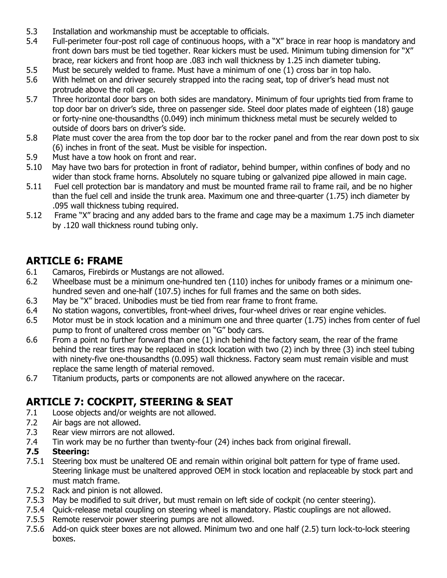- 5.3 Installation and workmanship must be acceptable to officials.
- 5.4 Full-perimeter four-post roll cage of continuous hoops, with a "X" brace in rear hoop is mandatory and front down bars must be tied together. Rear kickers must be used. Minimum tubing dimension for "X" brace, rear kickers and front hoop are .083 inch wall thickness by 1.25 inch diameter tubing.
- 5.5 Must be securely welded to frame. Must have a minimum of one (1) cross bar in top halo.
- 5.6 With helmet on and driver securely strapped into the racing seat, top of driver's head must not protrude above the roll cage.
- 5.7 Three horizontal door bars on both sides are mandatory. Minimum of four uprights tied from frame to top door bar on driver's side, three on passenger side. Steel door plates made of eighteen (18) gauge or forty-nine one-thousandths (0.049) inch minimum thickness metal must be securely welded to outside of doors bars on driver's side.
- 5.8 Plate must cover the area from the top door bar to the rocker panel and from the rear down post to six (6) inches in front of the seat. Must be visible for inspection.
- 5.9 Must have a tow hook on front and rear.
- 5.10 May have two bars for protection in front of radiator, behind bumper, within confines of body and no wider than stock frame horns. Absolutely no square tubing or galvanized pipe allowed in main cage.
- 5.11 Fuel cell protection bar is mandatory and must be mounted frame rail to frame rail, and be no higher than the fuel cell and inside the trunk area. Maximum one and three-quarter (1.75) inch diameter by .095 wall thickness tubing required.
- 5.12 Frame "X" bracing and any added bars to the frame and cage may be a maximum 1.75 inch diameter by .120 wall thickness round tubing only.

## **ARTICLE 6: FRAME**

- 6.1 Camaros, Firebirds or Mustangs are not allowed.
- 6.2 Wheelbase must be a minimum one-hundred ten (110) inches for unibody frames or a minimum onehundred seven and one-half (107.5) inches for full frames and the same on both sides.
- 6.3 May be "X" braced. Unibodies must be tied from rear frame to front frame.
- 6.4 No station wagons, convertibles, front-wheel drives, four-wheel drives or rear engine vehicles.
- 6.5 Motor must be in stock location and a minimum one and three quarter (1.75) inches from center of fuel pump to front of unaltered cross member on "G" body cars.
- 6.6 From a point no further forward than one (1) inch behind the factory seam, the rear of the frame behind the rear tires may be replaced in stock location with two (2) inch by three (3) inch steel tubing with ninety-five one-thousandths (0.095) wall thickness. Factory seam must remain visible and must replace the same length of material removed.
- 6.7 Titanium products, parts or components are not allowed anywhere on the racecar.

## **ARTICLE 7: COCKPIT, STEERING & SEAT**

- 7.1 Loose objects and/or weights are not allowed.
- 7.2 Air bags are not allowed.
- 7.3 Rear view mirrors are not allowed.
- 7.4 Tin work may be no further than twenty-four (24) inches back from original firewall.

#### **7.5 Steering:**

- 7.5.1 Steering box must be unaltered OE and remain within original bolt pattern for type of frame used. Steering linkage must be unaltered approved OEM in stock location and replaceable by stock part and must match frame.
- 7.5.2 Rack and pinion is not allowed.
- 7.5.3 May be modified to suit driver, but must remain on left side of cockpit (no center steering).
- 7.5.4 Quick-release metal coupling on steering wheel is mandatory. Plastic couplings are not allowed.
- 7.5.5 Remote reservoir power steering pumps are not allowed.
- 7.5.6 Add-on quick steer boxes are not allowed. Minimum two and one half (2.5) turn lock-to-lock steering boxes.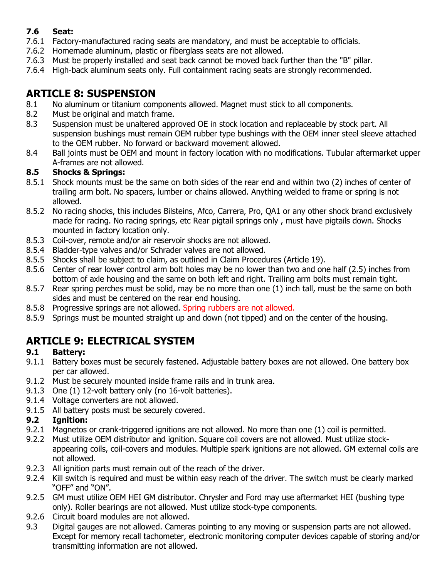#### **7.6 Seat:**

- 7.6.1 Factory-manufactured racing seats are mandatory, and must be acceptable to officials.
- 7.6.2 Homemade aluminum, plastic or fiberglass seats are not allowed.
- 7.6.3 Must be properly installed and seat back cannot be moved back further than the "B" pillar.
- 7.6.4 High-back aluminum seats only. Full containment racing seats are strongly recommended.

## **ARTICLE 8: SUSPENSION**

- 8.1 No aluminum or titanium components allowed. Magnet must stick to all components.
- 8.2 Must be original and match frame.
- 8.3 Suspension must be unaltered approved OE in stock location and replaceable by stock part. All suspension bushings must remain OEM rubber type bushings with the OEM inner steel sleeve attached to the OEM rubber. No forward or backward movement allowed.
- 8.4 Ball joints must be OEM and mount in factory location with no modifications. Tubular aftermarket upper A-frames are not allowed.

#### **8.5 Shocks & Springs:**

- 8.5.1 Shock mounts must be the same on both sides of the rear end and within two (2) inches of center of trailing arm bolt. No spacers, lumber or chains allowed. Anything welded to frame or spring is not allowed.
- 8.5.2 No racing shocks, this includes Bilsteins, Afco, Carrera, Pro, QA1 or any other shock brand exclusively made for racing. No racing springs, etc Rear pigtail springs only , must have pigtails down. Shocks mounted in factory location only.
- 8.5.3 Coil-over, remote and/or air reservoir shocks are not allowed.
- 8.5.4 Bladder-type valves and/or Schrader valves are not allowed.
- 8.5.5 Shocks shall be subject to claim, as outlined in Claim Procedures (Article 19).
- 8.5.6 Center of rear lower control arm bolt holes may be no lower than two and one half (2.5) inches from bottom of axle housing and the same on both left and right. Trailing arm bolts must remain tight.
- 8.5.7 Rear spring perches must be solid, may be no more than one (1) inch tall, must be the same on both sides and must be centered on the rear end housing.
- 8.5.8 Progressive springs are not allowed. Spring rubbers are not allowed.
- 8.5.9 Springs must be mounted straight up and down (not tipped) and on the center of the housing.

# **ARTICLE 9: ELECTRICAL SYSTEM**

#### **9.1 Battery:**

- 9.1.1 Battery boxes must be securely fastened. Adjustable battery boxes are not allowed. One battery box per car allowed.
- 9.1.2 Must be securely mounted inside frame rails and in trunk area.
- 9.1.3 One (1) 12-volt battery only (no 16-volt batteries).
- 9.1.4 Voltage converters are not allowed.
- 9.1.5 All battery posts must be securely covered.

#### **9.2 Ignition:**

- 9.2.1 Magnetos or crank-triggered ignitions are not allowed. No more than one (1) coil is permitted.
- 9.2.2 Must utilize OEM distributor and ignition. Square coil covers are not allowed. Must utilize stockappearing coils, coil-covers and modules. Multiple spark ignitions are not allowed. GM external coils are not allowed.
- 9.2.3 All ignition parts must remain out of the reach of the driver.
- 9.2.4 Kill switch is required and must be within easy reach of the driver. The switch must be clearly marked "OFF" and "ON".
- 9.2.5 GM must utilize OEM HEI GM distributor. Chrysler and Ford may use aftermarket HEI (bushing type only). Roller bearings are not allowed. Must utilize stock-type components.
- 9.2.6 Circuit board modules are not allowed.
- 9.3 Digital gauges are not allowed. Cameras pointing to any moving or suspension parts are not allowed. Except for memory recall tachometer, electronic monitoring computer devices capable of storing and/or transmitting information are not allowed.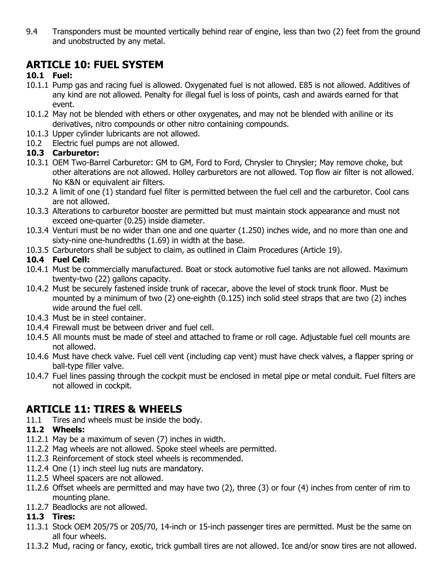9.4 Transponders must be mounted vertically behind rear of engine, less than two (2) feet from the ground and unobstructed by any metal.

## **ARTICLE 10: FUEL SYSTEM**

#### **10.1 Fuel:**

- 10.1.1 Pump gas and racing fuel is allowed. Oxygenated fuel is not allowed. E85 is not allowed. Additives of any kind are not allowed. Penalty for illegal fuel is loss of points, cash and awards earned for that event.
- 10.1.2 May not be blended with ethers or other oxygenates, and may not be blended with aniline or its derivatives, nitro compounds or other nitro containing compounds.
- 10.1.3 Upper cylinder lubricants are not allowed.
- 10.2 Electric fuel pumps are not allowed.

#### **10.3 Carburetor:**

- 10.3.1 OEM Two-Barrel Carburetor: GM to GM, Ford to Ford, Chrysler to Chrysler; May remove choke, but other alterations are not allowed. Holley carburetors are not allowed. Top flow air filter is not allowed. No K&N or equivalent air filters.
- 10.3.2 A limit of one (1) standard fuel filter is permitted between the fuel cell and the carburetor. Cool cans are not allowed.
- 10.3.3 Alterations to carburetor booster are permitted but must maintain stock appearance and must not exceed one-quarter (0.25) inside diameter.
- 10.3.4 Venturi must be no wider than one and one quarter (1.250) inches wide, and no more than one and sixty-nine one-hundredths (1.69) in width at the base.
- 10.3.5 Carburetors shall be subject to claim, as outlined in Claim Procedures (Article 19).

#### **10.4 Fuel Cell:**

- 10.4.1 Must be commercially manufactured. Boat or stock automotive fuel tanks are not allowed. Maximum twenty-two (22) gallons capacity.
- 10.4.2 Must be securely fastened inside trunk of racecar, above the level of stock trunk floor. Must be mounted by a minimum of two (2) one-eighth (0.125) inch solid steel straps that are two (2) inches wide around the fuel cell.
- 10.4.3 Must be in steel container.
- 10.4.4 Firewall must be between driver and fuel cell.
- 10.4.5 All mounts must be made of steel and attached to frame or roll cage. Adjustable fuel cell mounts are not allowed.
- 10.4.6 Must have check valve. Fuel cell vent (including cap vent) must have check valves, a flapper spring or ball-type filler valve.
- 10.4.7 Fuel lines passing through the cockpit must be enclosed in metal pipe or metal conduit. Fuel filters are not allowed in cockpit.

### **ARTICLE 11: TIRES & WHEELS**

11.1 Tires and wheels must be inside the body.

#### **11.2 Wheels:**

- 11.2.1 May be a maximum of seven (7) inches in width.
- 11.2.2 Mag wheels are not allowed. Spoke steel wheels are permitted.
- 11.2.3 Reinforcement of stock steel wheels is recommended.
- 11.2.4 One (1) inch steel lug nuts are mandatory.
- 11.2.5 Wheel spacers are not allowed.
- 11.2.6 Offset wheels are permitted and may have two (2), three (3) or four (4) inches from center of rim to mounting plane.
- 11.2.7 Beadlocks are not allowed.

#### **11.3 Tires:**

- 11.3.1 Stock OEM 205/75 or 205/70, 14-inch or 15-inch passenger tires are permitted. Must be the same on all four wheels.
- 11.3.2 Mud, racing or fancy, exotic, trick gumball tires are not allowed. Ice and/or snow tires are not allowed.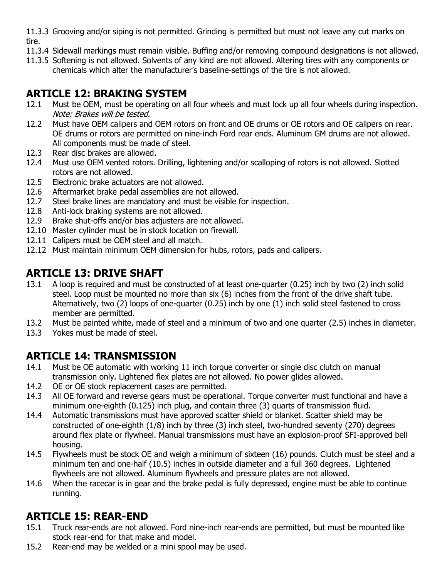11.3.3 Grooving and/or siping is not permitted. Grinding is permitted but must not leave any cut marks on tire.

- 11.3.4 Sidewall markings must remain visible. Buffing and/or removing compound designations is not allowed.
- 11.3.5 Softening is not allowed. Solvents of any kind are not allowed. Altering tires with any components or chemicals which alter the manufacturer's baseline-settings of the tire is not allowed.

# **ARTICLE 12: BRAKING SYSTEM**

- 12.1 Must be OEM, must be operating on all four wheels and must lock up all four wheels during inspection. Note: Brakes will be tested.
- 12.2 Must have OEM calipers and OEM rotors on front and OE drums or OE rotors and OE calipers on rear. OE drums or rotors are permitted on nine-inch Ford rear ends. Aluminum GM drums are not allowed. All components must be made of steel.
- 12.3 Rear disc brakes are allowed.
- 12.4 Must use OEM vented rotors. Drilling, lightening and/or scalloping of rotors is not allowed. Slotted rotors are not allowed.
- 12.5 Electronic brake actuators are not allowed.
- 12.6 Aftermarket brake pedal assemblies are not allowed.
- 12.7 Steel brake lines are mandatory and must be visible for inspection.
- 12.8 Anti-lock braking systems are not allowed.
- 12.9 Brake shut-offs and/or bias adjusters are not allowed.
- 12.10 Master cylinder must be in stock location on firewall.
- 12.11 Calipers must be OEM steel and all match.
- 12.12 Must maintain minimum OEM dimension for hubs, rotors, pads and calipers.

# **ARTICLE 13: DRIVE SHAFT**

- 13.1 A loop is required and must be constructed of at least one-quarter (0.25) inch by two (2) inch solid steel. Loop must be mounted no more than six (6) inches from the front of the drive shaft tube. Alternatively, two (2) loops of one-quarter (0.25) inch by one (1) inch solid steel fastened to cross member are permitted.
- 13.2 Must be painted white, made of steel and a minimum of two and one quarter (2.5) inches in diameter.
- 13.3 Yokes must be made of steel.

## **ARTICLE 14: TRANSMISSION**

- 14.1 Must be OE automatic with working 11 inch torque converter or single disc clutch on manual transmission only. Lightened flex plates are not allowed. No power glides allowed.
- 14.2 OE or OE stock replacement cases are permitted.
- 14.3 All OE forward and reverse gears must be operational. Torque converter must functional and have a minimum one-eighth (0.125) inch plug, and contain three (3) quarts of transmission fluid.
- 14.4 Automatic transmissions must have approved scatter shield or blanket. Scatter shield may be constructed of one-eighth (1/8) inch by three (3) inch steel, two-hundred seventy (270) degrees around flex plate or flywheel. Manual transmissions must have an explosion-proof SFI-approved bell housing.
- 14.5 Flywheels must be stock OE and weigh a minimum of sixteen (16) pounds. Clutch must be steel and a minimum ten and one-half (10.5) inches in outside diameter and a full 360 degrees. Lightened flywheels are not allowed. Aluminum flywheels and pressure plates are not allowed.
- 14.6 When the racecar is in gear and the brake pedal is fully depressed, engine must be able to continue running.

## **ARTICLE 15: REAR-END**

- 15.1 Truck rear-ends are not allowed. Ford nine-inch rear-ends are permitted, but must be mounted like stock rear-end for that make and model.
- 15.2 Rear-end may be welded or a mini spool may be used.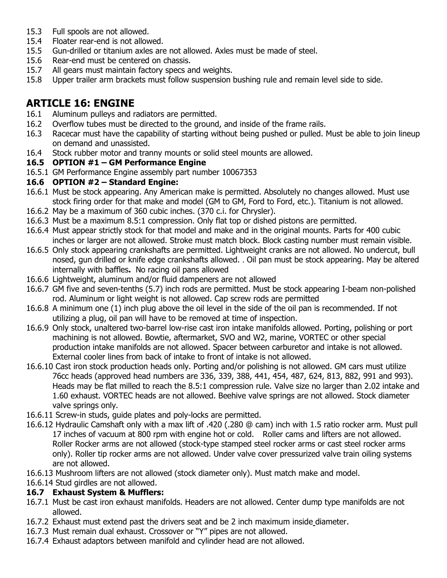- 15.3 Full spools are not allowed.
- 15.4 Floater rear-end is not allowed.
- 15.5 Gun-drilled or titanium axles are not allowed. Axles must be made of steel.
- 15.6 Rear-end must be centered on chassis.
- 15.7 All gears must maintain factory specs and weights.
- 15.8 Upper trailer arm brackets must follow suspension bushing rule and remain level side to side.

## **ARTICLE 16: ENGINE**

- 16.1 Aluminum pulleys and radiators are permitted.
- 16.2 Overflow tubes must be directed to the ground, and inside of the frame rails.
- 16.3 Racecar must have the capability of starting without being pushed or pulled. Must be able to join lineup on demand and unassisted.
- 16.4 Stock rubber motor and tranny mounts or solid steel mounts are allowed.

#### **16.5 OPTION #1 – GM Performance Engine**

16.5.1 GM Performance Engine assembly part number 10067353

#### **16.6 OPTION #2 – Standard Engine:**

- 16.6.1 Must be stock appearing. Any American make is permitted. Absolutely no changes allowed. Must use stock firing order for that make and model (GM to GM, Ford to Ford, etc.). Titanium is not allowed.
- 16.6.2 May be a maximum of 360 cubic inches. (370 c.i. for Chrysler).
- 16.6.3 Must be a maximum 8.5:1 compression. Only flat top or dished pistons are permitted.
- 16.6.4 Must appear strictly stock for that model and make and in the original mounts. Parts for 400 cubic inches or larger are not allowed. Stroke must match block. Block casting number must remain visible.
- 16.6.5 Only stock appearing crankshafts are permitted. Lightweight cranks are not allowed. No undercut, bull nosed, gun drilled or knife edge crankshafts allowed. . Oil pan must be stock appearing. May be altered internally with baffles**.** No racing oil pans allowed
- 16.6.6 Lightweight, aluminum and/or fluid dampeners are not allowed
- 16.6.7 GM five and seven-tenths (5.7) inch rods are permitted. Must be stock appearing I-beam non-polished rod. Aluminum or light weight is not allowed. Cap screw rods are permitted
- 16.6.8 A minimum one (1) inch plug above the oil level in the side of the oil pan is recommended. If not utilizing a plug, oil pan will have to be removed at time of inspection.
- 16.6.9 Only stock, unaltered two-barrel low-rise cast iron intake manifolds allowed. Porting, polishing or port machining is not allowed. Bowtie, aftermarket, SVO and W2, marine, VORTEC or other special production intake manifolds are not allowed. Spacer between carburetor and intake is not allowed. External cooler lines from back of intake to front of intake is not allowed.
- 16.6.10 Cast iron stock production heads only. Porting and/or polishing is not allowed. GM cars must utilize 76cc heads (approved head numbers are 336, 339, 388, 441, 454, 487, 624, 813, 882, 991 and 993). Heads may be flat milled to reach the 8.5:1 compression rule. Valve size no larger than 2.02 intake and 1.60 exhaust. VORTEC heads are not allowed. Beehive valve springs are not allowed. Stock diameter valve springs only.
- 16.6.11 Screw-in studs, guide plates and poly-locks are permitted.
- 16.6.12 Hydraulic Camshaft only with a max lift of .420 (.280 @ cam) inch with 1.5 ratio rocker arm. Must pull 17 inches of vacuum at 800 rpm with engine hot or cold. Roller cams and lifters are not allowed. Roller Rocker arms are not allowed (stock-type stamped steel rocker arms or cast steel rocker arms only). Roller tip rocker arms are not allowed. Under valve cover pressurized valve train oiling systems are not allowed.
- 16.6.13 Mushroom lifters are not allowed (stock diameter only). Must match make and model.

## 16.6.14 Stud girdles are not allowed.

#### **16.7 Exhaust System & Mufflers:**

- 16.7.1 Must be cast iron exhaust manifolds. Headers are not allowed. Center dump type manifolds are not allowed.
- 16.7.2 Exhaust must extend past the drivers seat and be 2 inch maximum inside diameter.
- 16.7.3 Must remain dual exhaust. Crossover or "Y" pipes are not allowed.
- 16.7.4 Exhaust adaptors between manifold and cylinder head are not allowed.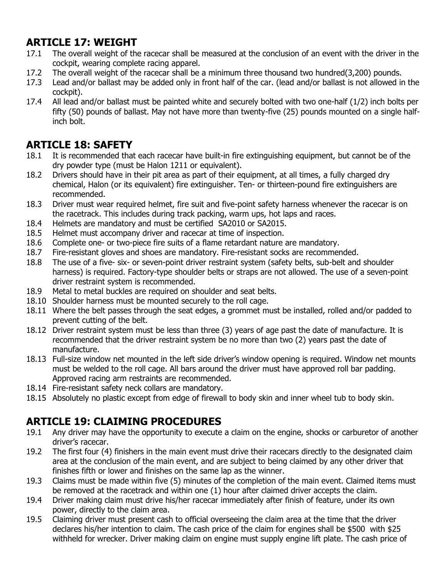## **ARTICLE 17: WEIGHT**

- 17.1 The overall weight of the racecar shall be measured at the conclusion of an event with the driver in the cockpit, wearing complete racing apparel.
- 17.2 The overall weight of the racecar shall be a minimum three thousand two hundred(3,200) pounds.
- 17.3 Lead and/or ballast may be added only in front half of the car. (lead and/or ballast is not allowed in the cockpit).
- 17.4 All lead and/or ballast must be painted white and securely bolted with two one-half (1/2) inch bolts per fifty (50) pounds of ballast. May not have more than twenty-five (25) pounds mounted on a single halfinch bolt.

## **ARTICLE 18: SAFETY**

- 18.1 It is recommended that each racecar have built-in fire extinguishing equipment, but cannot be of the dry powder type (must be Halon 1211 or equivalent).
- 18.2 Drivers should have in their pit area as part of their equipment, at all times, a fully charged dry chemical, Halon (or its equivalent) fire extinguisher. Ten- or thirteen-pound fire extinguishers are recommended.
- 18.3 Driver must wear required helmet, fire suit and five-point safety harness whenever the racecar is on the racetrack. This includes during track packing, warm ups, hot laps and races.
- 18.4 Helmets are mandatory and must be certified SA2010 or SA2015.
- 18.5 Helmet must accompany driver and racecar at time of inspection.
- 18.6 Complete one- or two-piece fire suits of a flame retardant nature are mandatory.
- 18.7 Fire-resistant gloves and shoes are mandatory. Fire-resistant socks are recommended.
- 18.8 The use of a five- six- or seven-point driver restraint system (safety belts, sub-belt and shoulder harness) is required. Factory-type shoulder belts or straps are not allowed. The use of a seven-point driver restraint system is recommended.
- 18.9 Metal to metal buckles are required on shoulder and seat belts.
- 18.10 Shoulder harness must be mounted securely to the roll cage.
- 18.11 Where the belt passes through the seat edges, a grommet must be installed, rolled and/or padded to prevent cutting of the belt.
- 18.12 Driver restraint system must be less than three (3) years of age past the date of manufacture. It is recommended that the driver restraint system be no more than two (2) years past the date of manufacture.
- 18.13 Full-size window net mounted in the left side driver's window opening is required. Window net mounts must be welded to the roll cage. All bars around the driver must have approved roll bar padding. Approved racing arm restraints are recommended.
- 18.14 Fire-resistant safety neck collars are mandatory.
- 18.15 Absolutely no plastic except from edge of firewall to body skin and inner wheel tub to body skin.

## **ARTICLE 19: CLAIMING PROCEDURES**

- 19.1 Any driver may have the opportunity to execute a claim on the engine, shocks or carburetor of another driver's racecar.
- 19.2 The first four (4) finishers in the main event must drive their racecars directly to the designated claim area at the conclusion of the main event, and are subject to being claimed by any other driver that finishes fifth or lower and finishes on the same lap as the winner.
- 19.3 Claims must be made within five (5) minutes of the completion of the main event. Claimed items must be removed at the racetrack and within one (1) hour after claimed driver accepts the claim.
- 19.4 Driver making claim must drive his/her racecar immediately after finish of feature, under its own power, directly to the claim area.
- 19.5 Claiming driver must present cash to official overseeing the claim area at the time that the driver declares his/her intention to claim. The cash price of the claim for engines shall be \$500 with \$25 withheld for wrecker. Driver making claim on engine must supply engine lift plate. The cash price of